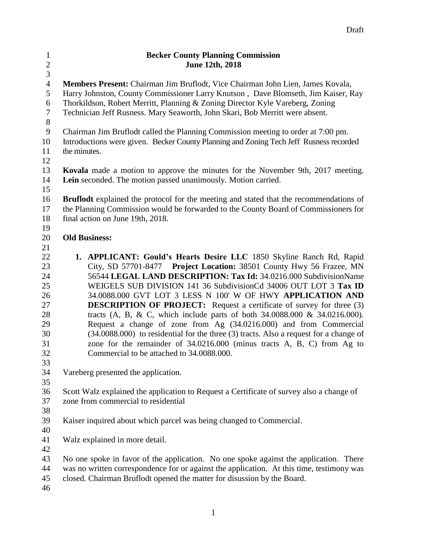| $\mathbf{1}$     | <b>Becker County Planning Commission</b>                                                      |
|------------------|-----------------------------------------------------------------------------------------------|
| $\sqrt{2}$       | June 12th, 2018                                                                               |
| $\overline{3}$   |                                                                                               |
| $\overline{4}$   | Members Present: Chairman Jim Bruflodt, Vice Chairman John Lien, James Kovala,                |
| 5                | Harry Johnston, County Commissioner Larry Knutson, Dave Blomseth, Jim Kaiser, Ray             |
| 6                | Thorkildson, Robert Merritt, Planning & Zoning Director Kyle Vareberg, Zoning                 |
| $\boldsymbol{7}$ | Technician Jeff Rusness. Mary Seaworth, John Skari, Bob Merritt were absent.                  |
| $8\,$            |                                                                                               |
| 9                | Chairman Jim Bruflodt called the Planning Commission meeting to order at 7:00 pm.             |
| 10               | Introductions were given. Becker County Planning and Zoning Tech Jeff Rusness recorded        |
| 11               | the minutes.                                                                                  |
| 12               |                                                                                               |
| 13               | Kovala made a motion to approve the minutes for the November 9th, 2017 meeting.               |
| 14               | Lein seconded. The motion passed unanimously. Motion carried.                                 |
| 15               |                                                                                               |
| 16               | <b>Bruflodt</b> explained the protocol for the meeting and stated that the recommendations of |
| 17               | the Planning Commission would be forwarded to the County Board of Commissioners for           |
| 18<br>19         | final action on June 19th, 2018.                                                              |
| 20               | <b>Old Business:</b>                                                                          |
| 21               |                                                                                               |
| 22               | 1. APPLICANT: Gould's Hearts Desire LLC 1850 Skyline Ranch Rd, Rapid                          |
| 23               | City, SD 57701-8477 Project Location: 38501 County Hwy 56 Frazee, MN                          |
| 24               | 56544 LEGAL LAND DESCRIPTION: Tax Id: 34.0216.000 SubdivisionName                             |
| 25               | WEIGELS SUB DIVISION 141 36 Subdivision Cd 34006 OUT LOT 3 Tax ID                             |
| 26               | 34.0088.000 GVT LOT 3 LESS N 100' W OF HWY APPLICATION AND                                    |
| 27               | <b>DESCRIPTION OF PROJECT:</b> Request a certificate of survey for three (3)                  |
| 28               | tracts (A, B, & C, which include parts of both $34.0088.000 \& 34.0216.000$ ).                |
| 29               | Request a change of zone from Ag (34.0216.000) and from Commercial                            |
| 30               | $(34.0088.000)$ to residential for the three $(3)$ tracts. Also a request for a change of     |
| 31               | zone for the remainder of 34.0216.000 (minus tracts A, B, C) from Ag to                       |
| 32               | Commercial to be attached to 34.0088.000.                                                     |
| 33               |                                                                                               |
| 34               | Vareberg presented the application.                                                           |
| 35               |                                                                                               |
| 36               | Scott Walz explained the application to Request a Certificate of survey also a change of      |
| 37               | zone from commercial to residential                                                           |
| 38               |                                                                                               |
| 39               | Kaiser inquired about which parcel was being changed to Commercial.                           |
| 40               |                                                                                               |
| 41               | Walz explained in more detail.                                                                |
| 42               |                                                                                               |
| 43               | No one spoke in favor of the application. No one spoke against the application. There         |
| 44               | was no written correspondence for or against the application. At this time, testimony was     |
| 45               | closed. Chairman Bruflodt opened the matter for disussion by the Board.                       |
| 46               |                                                                                               |
|                  |                                                                                               |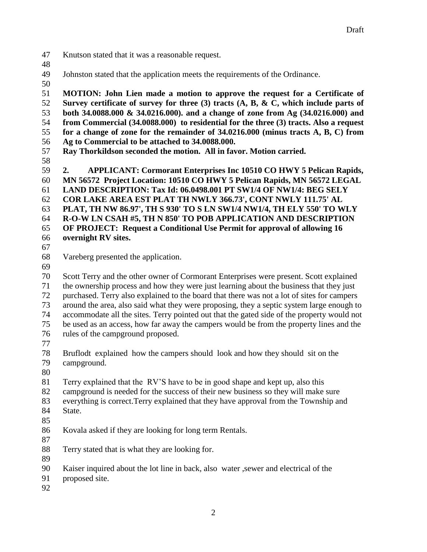- Knutson stated that it was a reasonable request.
- 
- Johnston stated that the application meets the requirements of the Ordinance.
- 

 **MOTION: John Lien made a motion to approve the request for a Certificate of Survey certificate of survey for three (3) tracts (A, B, & C, which include parts of both 34.0088.000 & 34.0216.000). and a change of zone from Ag (34.0216.000) and from Commercial (34.0088.000) to residential for the three (3) tracts. Also a request for a change of zone for the remainder of 34.0216.000 (minus tracts A, B, C) from Ag to Commercial to be attached to 34.0088.000. Ray Thorkildson seconded the motion. All in favor. Motion carried.** 

 **2. APPLICANT: Cormorant Enterprises Inc 10510 CO HWY 5 Pelican Rapids, MN 56572 Project Location: 10510 CO HWY 5 Pelican Rapids, MN 56572 LEGAL LAND DESCRIPTION: Tax Id: 06.0498.001 PT SW1/4 OF NW1/4: BEG SELY COR LAKE AREA EST PLAT TH NWLY 366.73', CONT NWLY 111.75' AL PLAT, TH NW 86.97', TH S 930' TO S LN SW1/4 NW1/4, TH ELY 550' TO WLY R-O-W LN CSAH #5, TH N 850' TO POB APPLICATION AND DESCRIPTION OF PROJECT: Request a Conditional Use Permit for approval of allowing 16 overnight RV sites.**

Vareberg presented the application.

 Scott Terry and the other owner of Cormorant Enterprises were present. Scott explained the ownership process and how they were just learning about the business that they just purchased. Terry also explained to the board that there was not a lot of sites for campers around the area, also said what they were proposing, they a septic system large enough to accommodate all the sites. Terry pointed out that the gated side of the property would not be used as an access, how far away the campers would be from the property lines and the rules of the campground proposed.

 Bruflodt explained how the campers should look and how they should sit on the campground.

Terry explained that the RV'S have to be in good shape and kept up, also this

campground is needed for the success of their new business so they will make sure

 everything is correct.Terry explained that they have approval from the Township and State.

- 
- Kovala asked if they are looking for long term Rentals.
	-

 Terry stated that is what they are looking for. 

Kaiser inquired about the lot line in back, also water ,sewer and electrical of the

proposed site.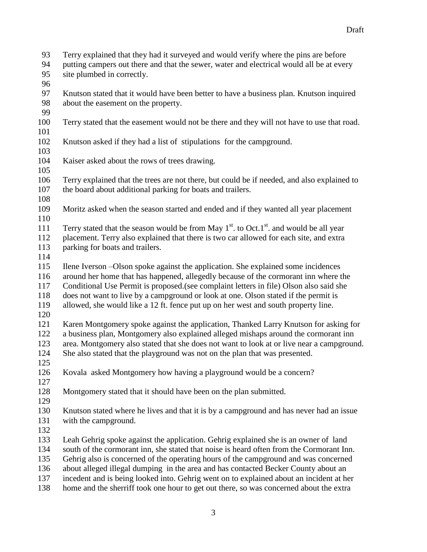- Terry explained that they had it surveyed and would verify where the pins are before
- putting campers out there and that the sewer, water and electrical would all be at every site plumbed in correctly.
- 
- Knutson stated that it would have been better to have a business plan. Knutson inquired about the easement on the property.
- 
- Terry stated that the easement would not be there and they will not have to use that road.
- Knutson asked if they had a list of stipulations for the campground.
- 
- Kaiser asked about the rows of trees drawing.
- Terry explained that the trees are not there, but could be if needed, and also explained to the board about additional parking for boats and trailers.
- 
- Moritz asked when the season started and ended and if they wanted all year placement
- 111 Terry stated that the season would be from May  $1<sup>st</sup>$ . to Oct.1<sup>st</sup> and would be all year
- placement. Terry also explained that there is two car allowed for each site, and extra 113 parking for boats and trailers.
- 
- Ilene Iverson –Olson spoke against the application. She explained some incidences
- around her home that has happened, allegedly because of the cormorant inn where the
- Conditional Use Permit is proposed.(see complaint letters in file) Olson also said she
- does not want to live by a campground or look at one. Olson stated if the permit is
- allowed, she would like a 12 ft. fence put up on her west and south property line.
- 

 Karen Montgomery spoke against the application, Thanked Larry Knutson for asking for a business plan, Montgomery also explained alleged mishaps around the cormorant inn area. Montgomery also stated that she does not want to look at or live near a campground. She also stated that the playground was not on the plan that was presented.

- 
- Kovala asked Montgomery how having a playground would be a concern?
- 
- Montgomery stated that it should have been on the plan submitted.
- 
- Knutson stated where he lives and that it is by a campground and has never had an issue with the campground.
- 
- Leah Gehrig spoke against the application. Gehrig explained she is an owner of land
- south of the cormorant inn, she stated that noise is heard often from the Cormorant Inn.
- Gehrig also is concerned of the operating hours of the campground and was concerned
- about alleged illegal dumping in the area and has contacted Becker County about an
- incedent and is being looked into. Gehrig went on to explained about an incident at her
- home and the sherriff took one hour to get out there, so was concerned about the extra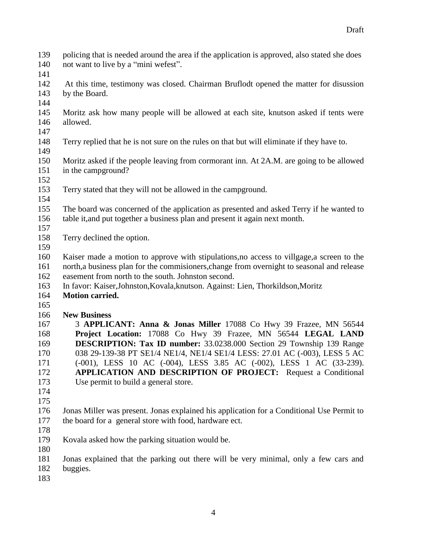- policing that is needed around the area if the application is approved, also stated she does not want to live by a "mini wefest". At this time, testimony was closed. Chairman Bruflodt opened the matter for disussion by the Board. Moritz ask how many people will be allowed at each site, knutson asked if tents were allowed. Terry replied that he is not sure on the rules on that but will eliminate if they have to. Moritz asked if the people leaving from cormorant inn. At 2A.M. are going to be allowed in the campground? Terry stated that they will not be allowed in the campground. The board was concerned of the application as presented and asked Terry if he wanted to table it,and put together a business plan and present it again next month. Terry declined the option. Kaiser made a motion to approve with stipulations,no access to villgage,a screen to the north,a business plan for the commisioners,change from overnight to seasonal and release easement from north to the south. Johnston second. In favor: Kaiser,Johnston,Kovala,knutson. Against: Lien, Thorkildson,Moritz **Motion carried. New Business** 3 **APPLICANT: Anna & Jonas Miller** 17088 Co Hwy 39 Frazee, MN 56544 **Project Location:** 17088 Co Hwy 39 Frazee, MN 56544 **LEGAL LAND DESCRIPTION: Tax ID number:** 33.0238.000 Section 29 Township 139 Range 038 29-139-38 PT SE1/4 NE1/4, NE1/4 SE1/4 LESS: 27.01 AC (-003), LESS 5 AC (-001), LESS 10 AC (-004), LESS 3.85 AC (-002), LESS 1 AC (33-239). **APPLICATION AND DESCRIPTION OF PROJECT:** Request a Conditional Use permit to build a general store. Jonas Miller was present. Jonas explained his application for a Conditional Use Permit to the board for a general store with food, hardware ect. Kovala asked how the parking situation would be. Jonas explained that the parking out there will be very minimal, only a few cars and buggies.
-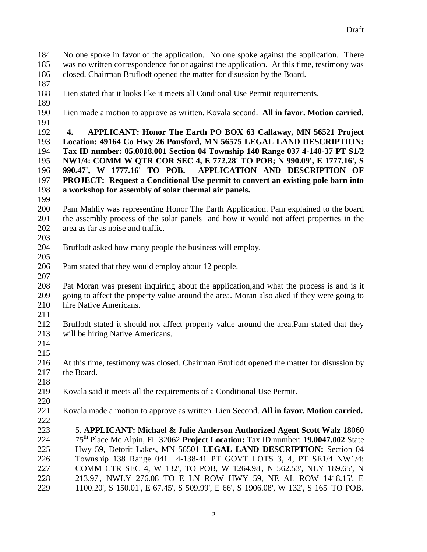No one spoke in favor of the application. No one spoke against the application. There was no written correspondence for or against the application. At this time, testimony was closed. Chairman Bruflodt opened the matter for disussion by the Board. Lien stated that it looks like it meets all Condional Use Permit requirements.

- 
- 
- Lien made a motion to approve as written. Kovala second. **All in favor. Motion carried.**
- 

 **4. APPLICANT: Honor The Earth PO BOX 63 Callaway, MN 56521 Project Location: 49164 Co Hwy 26 Ponsford, MN 56575 LEGAL LAND DESCRIPTION: Tax ID number: 05.0018.001 Section 04 Township 140 Range 037 4-140-37 PT S1/2 NW1/4: COMM W QTR COR SEC 4, E 772.28' TO POB; N 990.09', E 1777.16', S 990.47', W 1777.16' TO POB. APPLICATION AND DESCRIPTION OF PROJECT: Request a Conditional Use permit to convert an existing pole barn into a workshop for assembly of solar thermal air panels.**

 Pam Mahliy was representing Honor The Earth Application. Pam explained to the board the assembly process of the solar panels and how it would not affect properties in the area as far as noise and traffic. 

- Bruflodt asked how many people the business will employ.
- 
- Pam stated that they would employ about 12 people.
- 

 Pat Moran was present inquiring about the application,and what the process is and is it going to affect the property value around the area. Moran also aked if they were going to hire Native Americans.

 Bruflodt stated it should not affect property value around the area.Pam stated that they will be hiring Native Americans.

 

 At this time, testimony was closed. Chairman Bruflodt opened the matter for disussion by the Board.

Kovala said it meets all the requirements of a Conditional Use Permit.

- Kovala made a motion to approve as written. Lien Second. **All in favor. Motion carried.**
- 5. **APPLICANT: Michael & Julie Anderson Authorized Agent Scott Walz** 18060 75th Place Mc Alpin, FL 32062 **Project Location:** Tax ID number: **19.0047.002** State Hwy 59, Detorit Lakes, MN 56501 **LEGAL LAND DESCRIPTION:** Section 04 Township 138 Range 0414-138-41 PT GOVT LOTS 3, 4, PT SE1/4 NW1/4: COMM CTR SEC 4, W 132', TO POB, W 1264.98', N 562.53', NLY 189.65', N 213.97', NWLY 276.08 TO E LN ROW HWY 59, NE AL ROW 1418.15', E 1100.20', S 150.01', E 67.45', S 509.99', E 66', S 1906.08', W 132', S 165' TO POB.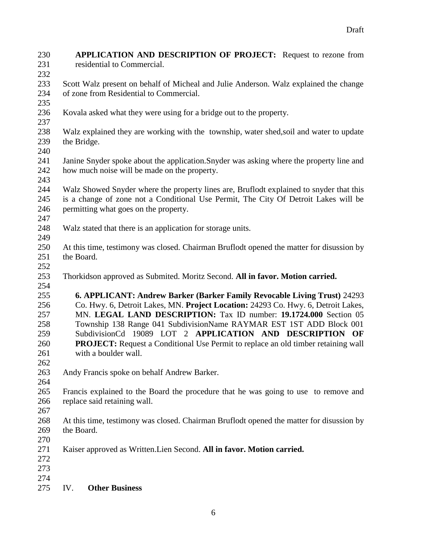**APPLICATION AND DESCRIPTION OF PROJECT:** Request to rezone from 231 residential to Commercial. Scott Walz present on behalf of Micheal and Julie Anderson. Walz explained the change of zone from Residential to Commercial. Kovala asked what they were using for a bridge out to the property. Walz explained they are working with the township, water shed,soil and water to update the Bridge. Janine Snyder spoke about the application.Snyder was asking where the property line and how much noise will be made on the property. Walz Showed Snyder where the property lines are, Bruflodt explained to snyder that this is a change of zone not a Conditional Use Permit, The City Of Detroit Lakes will be permitting what goes on the property. Walz stated that there is an application for storage units. At this time, testimony was closed. Chairman Bruflodt opened the matter for disussion by the Board. Thorkidson approved as Submited. Moritz Second. **All in favor. Motion carried. 6. APPLICANT: Andrew Barker (Barker Family Revocable Living Trust)** 24293 Co. Hwy. 6, Detroit Lakes, MN. **Project Location:** 24293 Co. Hwy. 6, Detroit Lakes, MN. **LEGAL LAND DESCRIPTION:** Tax ID number: **19.1724.000** Section 05 Township 138 Range 041 SubdivisionName RAYMAR EST 1ST ADD Block 001 SubdivisionCd 19089 LOT 2 **APPLICATION AND DESCRIPTION OF PROJECT:** Request a Conditional Use Permit to replace an old timber retaining wall with a boulder wall. Andy Francis spoke on behalf Andrew Barker. Francis explained to the Board the procedure that he was going to use to remove and replace said retaining wall. At this time, testimony was closed. Chairman Bruflodt opened the matter for disussion by the Board. Kaiser approved as Written.Lien Second. **All in favor. Motion carried.** IV. **Other Business**